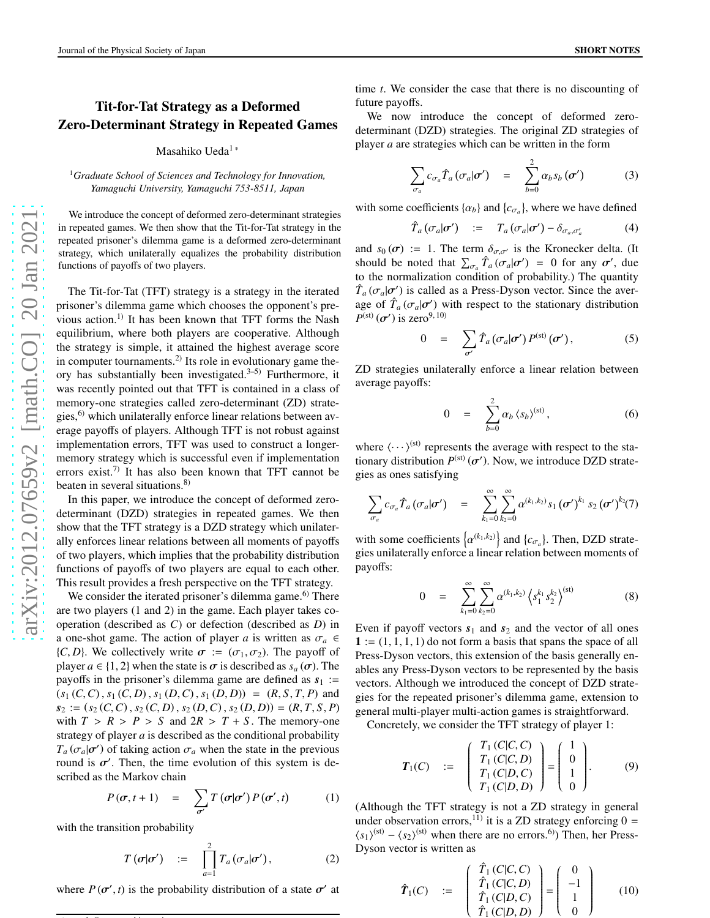## Tit-for-Tat Strategy as a Deformed Zero-Determinant Strategy in Repeated Games

Masahiko Ueda 1 \*

<sup>1</sup>*Graduate School of Sciences and Technology for Innovation, Yamaguchi University, Yamaguchi 753-8511, Japan*

We introduce the concept of deformed zero-determinant strategies in repeated games. We then show that the Tit-for-Tat strategy in the repeated prisoner's dilemma game is a deformed zero-determinant strategy, which unilaterally equalizes the probability distribution functions of payoffs of two players.

The Tit-for-Tat (TFT) strategy is a strategy in the iterated prisoner's dilemma game which chooses the opponent's previous action.<sup>1)</sup> It has been known that TFT forms the Nash equilibrium, where both players are cooperative. Although the strategy is simple, it attained the highest average scor e in computer tournaments.<sup>2)</sup> Its role in evolutionary game theory has substantially been investigated.<sup>3–5)</sup> Furthermore, it was recently pointed out that TFT is contained in a class of memory-one strategies called zero-determinant (ZD) strategies, $^{6}$  which unilaterally enforce linear relations between average payoffs of players. Although TFT is not robust against implementation errors, TFT was used to construct a longermemory strategy which is successful even if implementation errors exist.<sup>7)</sup> It has also been known that TFT cannot be beaten in several situations.<sup>8)</sup>

In this paper, we introduce the concept of deformed zerodeterminant (DZD) strategies in repeated games. We then show that the TFT strategy is a DZD strategy which unilaterally enforces linear relations between all moments of payoffs of two players, which implies that the probability distribution functions of payo ffs of two players are equal to each other. This result provides a fresh perspective on the TFT strategy .

We consider the iterated prisoner's dilemma game.<sup>6)</sup> There are two players (1 and 2) in the game. Each player takes cooperation (described as *C*) or defection (described as *D*) in a one-shot game. The action of player *a* is written as  $\sigma_a \in$ {*C*, *D*}. We collectively write  $\sigma := (\sigma_1, \sigma_2)$ . The payoff of player  $a \in \{1, 2\}$  when the state is  $\sigma$  is described as  $s_a(\sigma)$ . The payoffs in the prisoner's dilemma game are defined as  $s_1$  :=  $(s_1(C, C), s_1(C, D), s_1(D, C), s_1(D, D)) = (R, S, T, P)$  and  $s_2 := (s_2(C, C), s_2(C, D), s_2(D, C), s_2(D, D)) = (R, T, S, P)$ with  $T > R > P > S$  and  $2R > T + S$ . The memory-one strategy of player *a* is described as the conditional probability  $T_a$  ( $\sigma_a$ | $\sigma'$ ) of taking action  $\sigma_a$  when the state in the previous round is  $\sigma'$ . Then, the time evolution of this system is described as the Markov chain

$$
P(\boldsymbol{\sigma}, t+1) = \sum_{\boldsymbol{\sigma}'} T(\boldsymbol{\sigma}|\boldsymbol{\sigma}') P(\boldsymbol{\sigma}', t) \qquad (1)
$$

with the transition probability

 $\ldots$  is a contract of the contract of the contract of the contract of the contract of the contract of the contract of the contract of the contract of the contract of the contract of the contract of the contract of the co

$$
T\left(\boldsymbol{\sigma}|\boldsymbol{\sigma}'\right) := \prod_{a=1}^{2} T_a\left(\sigma_a|\boldsymbol{\sigma}'\right), \qquad (2)
$$

where  $P(\sigma', t)$  is the probability distribution of a state  $\sigma'$  at

time *t*. We consider the case that there is no discounting of future payoffs.

We now introduce the concept of deformed zerodeterminant (DZD) strategies. The original ZD strategies of player *a* are strategies which can be written in the form

$$
\sum_{\sigma_a} c_{\sigma_a} \hat{T}_a (\sigma_a | \sigma') = \sum_{b=0}^{2} \alpha_b s_b (\sigma')
$$
 (3)

with some coefficients  $\{\alpha_b\}$  and  $\{c_{\sigma_a}\}\)$ , where we have defined

$$
\hat{T}_a(\sigma_a|\sigma') \quad := \quad T_a(\sigma_a|\sigma') - \delta_{\sigma_a,\sigma'_a} \tag{4}
$$

and  $s_0(\sigma) := 1$ . The term  $\delta_{\sigma,\sigma'}$  is the Kronecker delta. (It should be noted that  $\sum_{\sigma_a} \hat{T}_a(\sigma_a | \sigma') = 0$  for any  $\sigma'$ , due to the normalization condition of probability.) The quantity  $\hat{T}_a(\sigma_a|\sigma')$  is called as a Press-Dyson vector. Since the average of  $\hat{T}_a(\sigma_a|\sigma')$  with respect to the stationary distribution  $P^{\rm (st)}(\sigma')$  is zero<sup>9, 10)</sup>

$$
0 = \sum_{\sigma'} \hat{T}_a(\sigma_a | \sigma') P^{(\text{st})}(\sigma'), \qquad (5)
$$

ZD strategies unilaterally enforce a linear relation between average payo ffs:

$$
0 = \sum_{b=0}^{2} \alpha_b \left\langle s_b \right\rangle^{(\text{st})}, \tag{6}
$$

where  $\langle \cdots \rangle^{\text{(st)}}$  represents the average with respect to the stationary distribution  $P^{(\text{st})}(\sigma')$ . Now, we introduce DZD strategies as ones satisfying

$$
\sum_{\sigma_a} c_{\sigma_a} \hat{T}_a \left( \sigma_a | \sigma' \right) = \sum_{k_1=0}^{\infty} \sum_{k_2=0}^{\infty} \alpha^{(k_1,k_2)} s_1 \left( \sigma' \right)^{k_1} s_2 \left( \sigma' \right)^{k_2} \left( \tau \right)
$$

with some coefficients  $\left\{\alpha^{(k_1,k_2)}\right\}$  and  $\left\{c_{\sigma_a}\right\}$ . Then, DZD strategies unilaterally enforce a linear relation between moments of payo ffs:

$$
0 = \sum_{k_1=0}^{\infty} \sum_{k_2=0}^{\infty} \alpha^{(k_1,k_2)} \left\langle s_1^{k_1} s_2^{k_2} \right\rangle^{(\text{st})} \tag{8}
$$

Even if payoff vectors  $s_1$  and  $s_2$  and the vector of all ones  $1 := (1, 1, 1, 1)$  do not form a basis that spans the space of all Press-Dyson vectors, this extension of the basis generally enables any Press-Dyson vectors to be represented by the basis vectors. Although we introduced the concept of DZD strategies for the repeated prisoner's dilemma game, extension to general multi-player multi-action games is straightforward.

Concretely, we consider the TFT strategy of player 1:

$$
T_1(C) := \begin{pmatrix} T_1(C|C, C) \\ T_1(C|C, D) \\ T_1(C|D, C) \\ T_1(C|D, D) \end{pmatrix} = \begin{pmatrix} 1 \\ 0 \\ 1 \\ 0 \end{pmatrix}.
$$
 (9)

(Although the TFT strategy is not a ZD strategy in general under observation errors,<sup>11)</sup> it is a ZD strategy enforcing  $0 =$  $\langle s_1 \rangle^{\text{(st)}} - \langle s_2 \rangle^{\text{(st)}}$  when there are no errors.<sup>6)</sup>) Then, her Press-Dyson vector is written as

$$
\hat{T}_1(C) := \begin{pmatrix} \hat{T}_1(C|C, C) \\ \hat{T}_1(C|C, D) \\ \hat{T}_1(C|D, C) \\ \hat{T}_1(C|D, D) \end{pmatrix} = \begin{pmatrix} 0 \\ -1 \\ 1 \\ 0 \end{pmatrix}
$$
 (10)